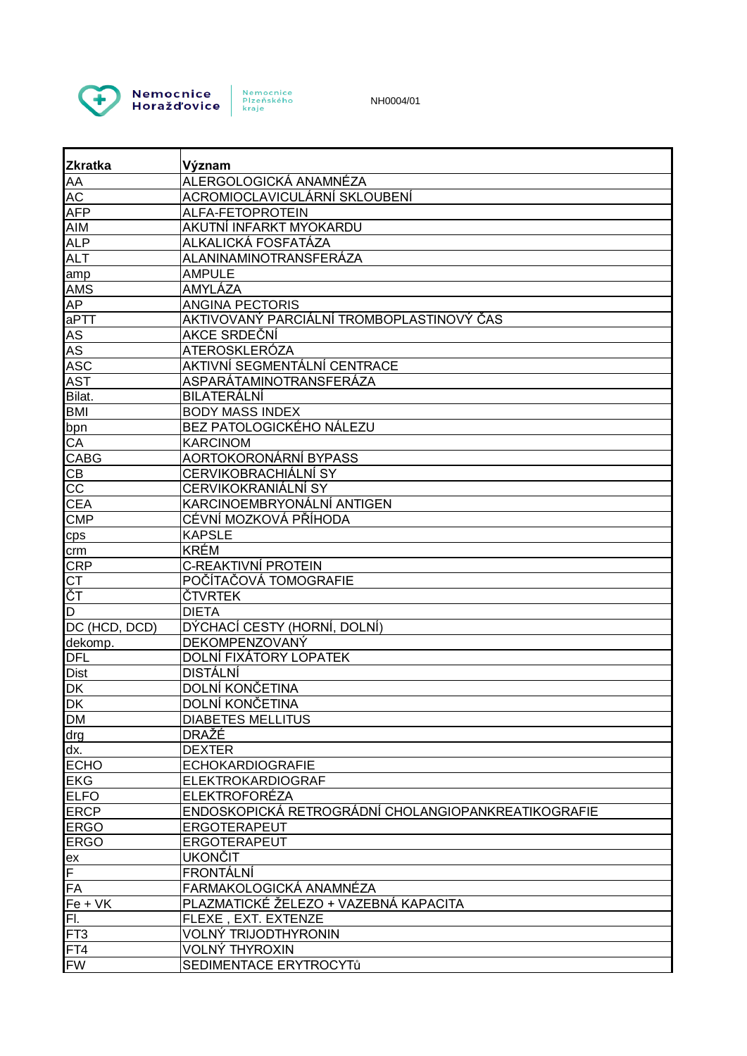

Nemocnice<br>Plzeňského<br>kraje

NH0004/01

| <b>IZkratka</b>            | Význam                                                           |
|----------------------------|------------------------------------------------------------------|
| <b>AA</b>                  | ALERGOLOGICKÁ ANAMNÉZA                                           |
| <b>AC</b>                  | ACROMIOCLAVICULÁRNÍ SKLOUBENÍ                                    |
| <b>AFP</b>                 | ALFA-FETOPROTEIN                                                 |
| <b>AIM</b>                 | AKUTNÍ INFARKT MYOKARDU                                          |
| <b>ALP</b>                 | ALKALICKÁ FOSFATÁZA                                              |
| <b>ALT</b>                 | ALANINAMINOTRANSFERÁZA                                           |
| amp                        | <b>AMPULE</b>                                                    |
| <b>AMS</b>                 | AMYLÁZA                                                          |
| <b>AP</b>                  | <b>ANGINA PECTORIS</b>                                           |
| aPTT                       | AKTIVOVANÝ PARCIÁLNÍ TROMBOPLASTINOVÝ ČAS                        |
| AS                         | AKCE SRDEČNÍ                                                     |
| AS                         | ATEROSKLERÓZA                                                    |
| <b>ASC</b>                 | AKTIVNÍ SEGMENTÁLNÍ CENTRACE                                     |
| <b>AST</b>                 | ASPARÁTAMINOTRANSFERÁZA                                          |
| Bilat.                     | <b>BILATERÁLNÍ</b>                                               |
| <b>BMI</b>                 | <b>BODY MASS INDEX</b>                                           |
| bpn                        | <b>BEZ PATOLOGICKÉHO NÁLEZU</b>                                  |
| CA                         | <b>KARCINOM</b>                                                  |
| <b>CABG</b>                | AORTOKORONÁRNÍ BYPASS                                            |
| CB                         | CERVIKOBRACHIÁLNÍ SY                                             |
| $\overline{cc}$            | CERVIKOKRANIÁLNÍ SY                                              |
| CEA                        | KARCINOEMBRYONÁLNÍ ANTIGEN                                       |
| <b>CMP</b>                 | CÉVNÍ MOZKOVÁ PŘÍHODA                                            |
|                            | <b>KAPSLE</b>                                                    |
| cps                        | <b>KRÉM</b>                                                      |
| crm                        | C-REAKTIVNÍ PROTEIN                                              |
| <b>CRP</b>                 | POČÍTAČOVÁ TOMOGRAFIE                                            |
| CT<br>ČT                   | ČTVRTEK                                                          |
| D                          | <b>DIETA</b>                                                     |
| DC (HCD, DCD)              | DÝCHACÍ CESTY (HORNÍ, DOLNÍ)                                     |
|                            | DEKOMPENZOVANÝ                                                   |
| dekomp.<br><b>DFL</b>      | DOLNÍ FIXÁTORY LOPATEK                                           |
| <b>Dist</b>                | <b>DISTÁLNÍ</b>                                                  |
| <b>DK</b>                  | DOLNÍ KONČETINA                                                  |
| <b>DK</b>                  | DOLNÍ KONČETINA                                                  |
| <b>DM</b>                  | <b>DIABETES MELLITUS</b>                                         |
|                            | <b>DRAŽE</b>                                                     |
| drg<br>dx.                 | <b>DEXTER</b>                                                    |
| <b>ECHO</b>                | <b>ECHOKARDIOGRAFIE</b>                                          |
| <b>EKG</b>                 | <b>ELEKTROKARDIOGRAF</b>                                         |
| <b>ELFO</b>                | <b>ELEKTROFORÉZA</b>                                             |
|                            | ENDOSKOPICKÁ RETROGRÁDNÍ CHOLANGIOPANKREATIKOGRAFIE              |
| <b>ERCP</b>                | <b>ERGOTERAPEUT</b>                                              |
| <b>ERGO</b><br><b>ERGO</b> | ERGOTERAPEUT                                                     |
|                            | <b>UKONČIT</b>                                                   |
| ex<br>F                    | <b>FRONTÁLNÍ</b>                                                 |
|                            |                                                                  |
| <b>FA</b>                  | FARMAKOLOGICKÁ ANAMNÉZA<br>PLAZMATICKÉ ŽELEZO + VAZEBNÁ KAPACITA |
| $Fe + VK$                  |                                                                  |
| FI.                        | FLEXE, EXT. EXTENZE                                              |
| FT <sub>3</sub>            | <b>VOLNÝ TRIJODTHYRONIN</b>                                      |
| FT4                        | <b>VOLNÝ THYROXIN</b>                                            |
| <b>FW</b>                  | SEDIMENTACE ERYTROCYTů                                           |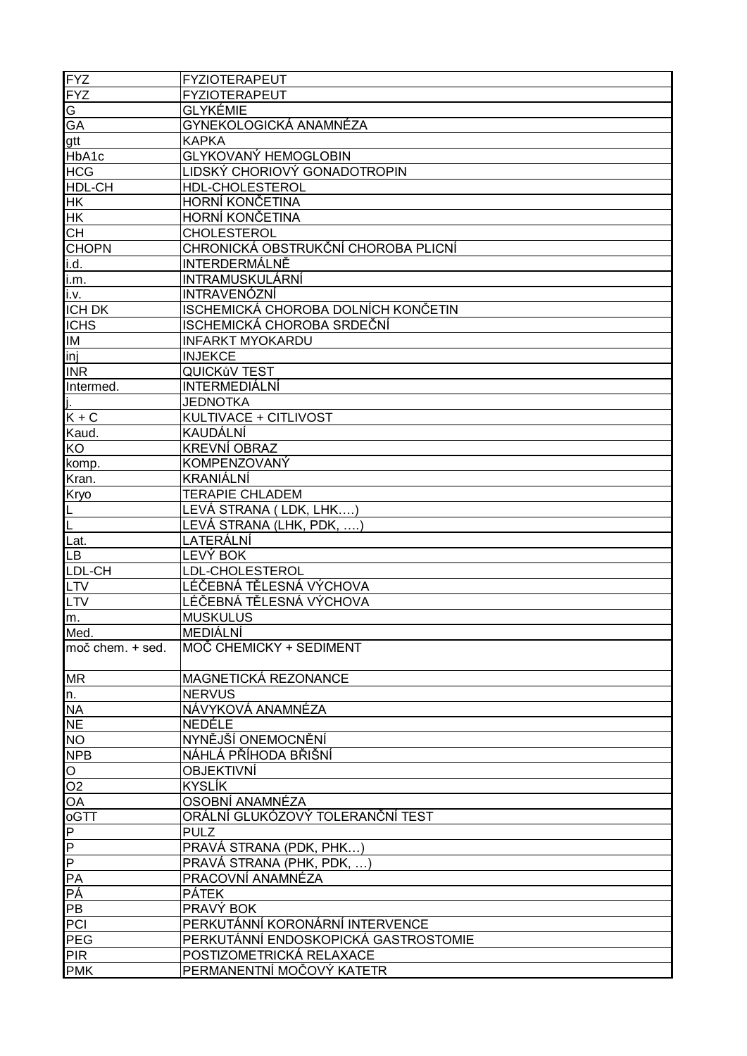| FYZ<br>FYZ                           | <b>FYZIOTERAPEUT</b>                 |
|--------------------------------------|--------------------------------------|
|                                      | <b>FYZIOTERAPEUT</b>                 |
| $rac{G}{G A}$                        | <b>GLYKÉMIE</b>                      |
|                                      | GYNEKOLOGICKÁ ANAMNÉZA               |
| gtt                                  | <b>KAPKA</b>                         |
| HbA1c                                | GLYKOVANÝ HEMOGLOBIN                 |
| <b>HCG</b>                           | LIDSKÝ CHORIOVÝ GONADOTROPIN         |
| HDL-CH                               | HDL-CHOLESTEROL                      |
| <b>HK</b>                            | HORNÍ KONČETINA                      |
| <u>Інк</u>                           | HORNÍ KONČETINA                      |
| <b>CH</b>                            | <b>CHOLESTEROL</b>                   |
| <b>CHOPN</b>                         | CHRONICKÁ OBSTRUKČNÍ CHOROBA PLICNÍ  |
| i.d.                                 | INTERDERMÁLNĚ                        |
| i.m.                                 | INTRAMUSKULÁRNÍ                      |
| <u>i.v.</u>                          | INTRAVENÓZNÍ                         |
| <b>ICH DK</b>                        | ISCHEMICKÁ CHOROBA DOLNÍCH KONČETIN  |
| <b>ICHS</b>                          | ISCHEMICKÁ CHOROBA SRDEČNÍ           |
| <b>IM</b>                            | <b>INFARKT MYOKARDU</b>              |
| $\overline{\text{inj}}$              | <b>INJEKCE</b>                       |
| <b>INR</b>                           | <b>QUICKůV TEST</b>                  |
| Intermed.                            | <b>INTERMEDIÁLNÍ</b>                 |
|                                      | <b>JEDNOTKA</b>                      |
| $K + C$                              | KULTIVACE + CITLIVOST                |
| Kaud.                                | KAUDÁLNÍ                             |
| KO                                   | <b>KREVNÍ OBRAZ</b>                  |
| komp.                                | KOMPENZOVANÝ                         |
| Kran.                                | KRANIÁLNÍ                            |
|                                      | <b>TERAPIE CHLADEM</b>               |
| Kryo                                 | LEVÁ STRANA (LDK, LHK)               |
| L<br> L                              | LEVÁ STRANA (LHK, PDK,               |
| Lat.                                 | LATERÁLNÍ                            |
| Lв                                   | LEVÝ BOK                             |
| LDL-CH                               | LDL-CHOLESTEROL                      |
| <u>ILTV</u>                          | LÉČEBNÁ TĚLESNÁ VÝCHOVA              |
| $\overline{\mathsf{L}}$ TV           | LÉČEBNÁ TĚLESNÁ VÝCHOVA              |
|                                      | <b>MUSKULUS</b>                      |
| m.                                   | MEDIÁLNÍ                             |
| Med.<br>$mo\check{c}$ chem. $+$ sed. | MOČ CHEMICKY + SEDIMENT              |
|                                      |                                      |
| <b>MR</b>                            | MAGNETICKÁ REZONANCE                 |
| $n_{-}$                              | <b>NERVUS</b>                        |
| <b>NA</b>                            | NÁVYKOVÁ ANAMNÉZA                    |
| <b>NE</b>                            | NEDÉLE                               |
| NO <sub>1</sub>                      | NYNĚJŠÍ ONEMOCNĚNÍ                   |
| <b>NPB</b>                           | NÁHLÁ PŘÍHODA BŘIŠNÍ                 |
| O                                    | <b>OBJEKTIVNÍ</b>                    |
| O <sub>2</sub>                       | KYSLÍK                               |
| OA                                   | OSOBNÍ ANAMNÉZA                      |
| $\overline{G}$                       | ORÁLNÍ GLUKÓZOVÝ TOLERANČNÍ TEST     |
| $\blacksquare$                       | <b>PULZ</b>                          |
|                                      | PRAVÁ STRANA (PDK, PHK)              |
|                                      | PRAVÁ STRANA (PHK, PDK, )            |
| $\frac{1}{\sqrt{d}}$                 | PRACOVNÍ ANAMNÉZA                    |
| PÁ                                   | <b>PÁTEK</b>                         |
| PB                                   | PRAVÝ BOK                            |
| PCI                                  | PERKUTÁNNÍ KORONÁRNÍ INTERVENCE      |
| PEG                                  | PERKUTÁNNÍ ENDOSKOPICKÁ GASTROSTOMIE |
| PIR                                  | POSTIZOMETRICKÁ RELAXACE             |
| <b>PMK</b>                           | PERMANENTNÍ MOČOVÝ KATETR            |